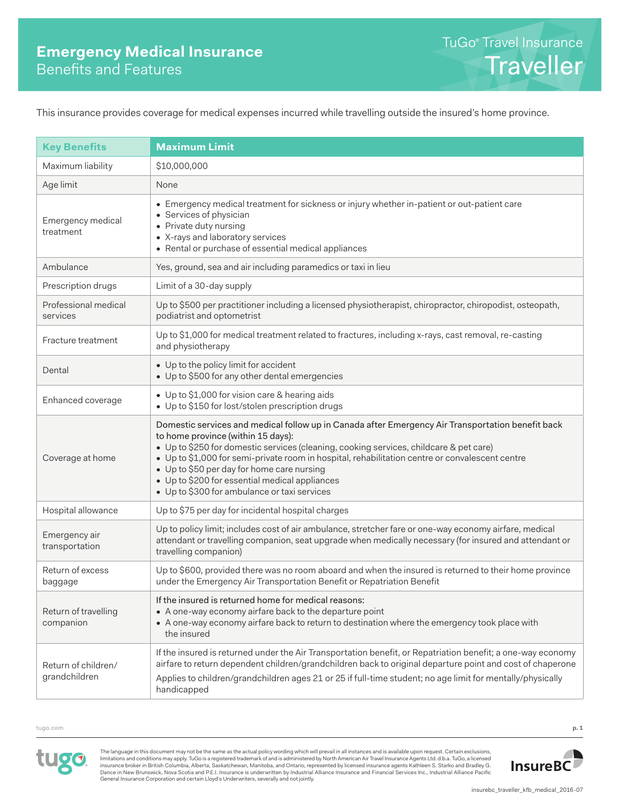This insurance provides coverage for medical expenses incurred while travelling outside the insured's home province.

| <b>Key Benefits</b>                  | <b>Maximum Limit</b>                                                                                                                                                                                                                                                                                                                                                                                                                                                                 |
|--------------------------------------|--------------------------------------------------------------------------------------------------------------------------------------------------------------------------------------------------------------------------------------------------------------------------------------------------------------------------------------------------------------------------------------------------------------------------------------------------------------------------------------|
| Maximum liability                    | \$10,000,000                                                                                                                                                                                                                                                                                                                                                                                                                                                                         |
|                                      |                                                                                                                                                                                                                                                                                                                                                                                                                                                                                      |
| Age limit                            | None<br>• Emergency medical treatment for sickness or injury whether in-patient or out-patient care                                                                                                                                                                                                                                                                                                                                                                                  |
| Emergency medical<br>treatment       | • Services of physician<br>• Private duty nursing<br>• X-rays and laboratory services<br>• Rental or purchase of essential medical appliances                                                                                                                                                                                                                                                                                                                                        |
| Ambulance                            | Yes, ground, sea and air including paramedics or taxi in lieu                                                                                                                                                                                                                                                                                                                                                                                                                        |
| Prescription drugs                   | Limit of a 30-day supply                                                                                                                                                                                                                                                                                                                                                                                                                                                             |
| Professional medical<br>services     | Up to \$500 per practitioner including a licensed physiotherapist, chiropractor, chiropodist, osteopath,<br>podiatrist and optometrist                                                                                                                                                                                                                                                                                                                                               |
| Fracture treatment                   | Up to \$1,000 for medical treatment related to fractures, including x-rays, cast removal, re-casting<br>and physiotherapy                                                                                                                                                                                                                                                                                                                                                            |
| Dental                               | • Up to the policy limit for accident<br>• Up to \$500 for any other dental emergencies                                                                                                                                                                                                                                                                                                                                                                                              |
| Enhanced coverage                    | • Up to \$1,000 for vision care & hearing aids<br>• Up to \$150 for lost/stolen prescription drugs                                                                                                                                                                                                                                                                                                                                                                                   |
| Coverage at home                     | Domestic services and medical follow up in Canada after Emergency Air Transportation benefit back<br>to home province (within 15 days):<br>• Up to \$250 for domestic services (cleaning, cooking services, childcare & pet care)<br>• Up to \$1,000 for semi-private room in hospital, rehabilitation centre or convalescent centre<br>• Up to \$50 per day for home care nursing<br>• Up to \$200 for essential medical appliances<br>• Up to \$300 for ambulance or taxi services |
| Hospital allowance                   | Up to \$75 per day for incidental hospital charges                                                                                                                                                                                                                                                                                                                                                                                                                                   |
| Emergency air<br>transportation      | Up to policy limit; includes cost of air ambulance, stretcher fare or one-way economy airfare, medical<br>attendant or travelling companion, seat upgrade when medically necessary (for insured and attendant or<br>travelling companion)                                                                                                                                                                                                                                            |
| Return of excess<br>baggage          | Up to \$600, provided there was no room aboard and when the insured is returned to their home province<br>under the Emergency Air Transportation Benefit or Repatriation Benefit                                                                                                                                                                                                                                                                                                     |
| Return of travelling<br>companion    | If the insured is returned home for medical reasons:<br>• A one-way economy airfare back to the departure point<br>• A one-way economy airfare back to return to destination where the emergency took place with<br>the insured                                                                                                                                                                                                                                                      |
| Return of children/<br>grandchildren | If the insured is returned under the Air Transportation benefit, or Repatriation benefit; a one-way economy<br>airfare to return dependent children/grandchildren back to original departure point and cost of chaperone<br>Applies to children/grandchildren ages 21 or 25 if full-time student; no age limit for mentally/physically<br>handicapped                                                                                                                                |

tugo.com **p. 1**



The language in this document may not be the same as the actual policy wording which will prevail in all instances and is available upon request. Certain exclusions,<br>limitations and conditions may apply. TuGo is a register Dance in New Brunswick, Nova Scotia and P.E.I. Insurance is underwritten by Industrial Alliance Insurance and Financial Services Inc., Industrial Alliance Pacific General Insurance Corporation and certain Lloyd's Underwriters, severally and not jointly.

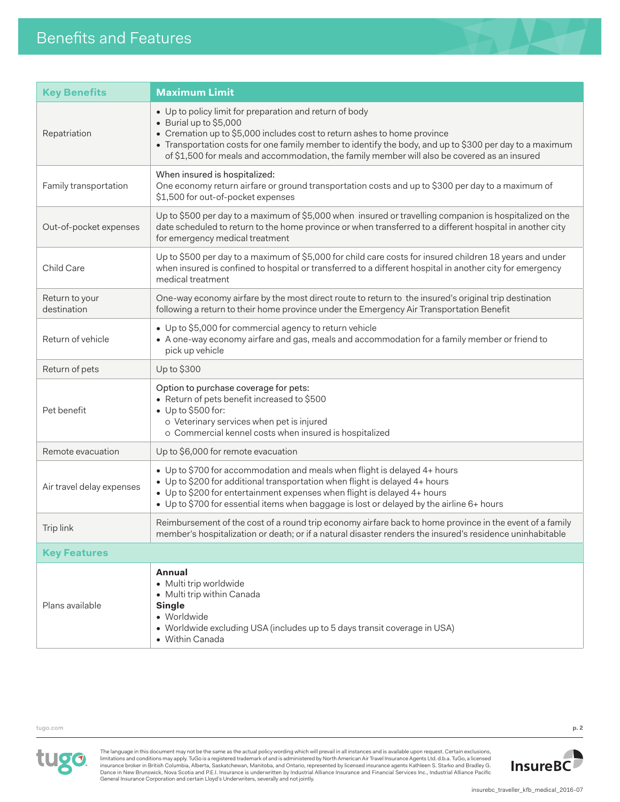

| <b>Key Benefits</b>           | <b>Maximum Limit</b>                                                                                                                                                                                                                                                                                                                                                     |
|-------------------------------|--------------------------------------------------------------------------------------------------------------------------------------------------------------------------------------------------------------------------------------------------------------------------------------------------------------------------------------------------------------------------|
| Repatriation                  | • Up to policy limit for preparation and return of body<br>• Burial up to \$5,000<br>• Cremation up to \$5,000 includes cost to return ashes to home province<br>• Transportation costs for one family member to identify the body, and up to \$300 per day to a maximum<br>of \$1,500 for meals and accommodation, the family member will also be covered as an insured |
| Family transportation         | When insured is hospitalized:<br>One economy return airfare or ground transportation costs and up to \$300 per day to a maximum of<br>\$1,500 for out-of-pocket expenses                                                                                                                                                                                                 |
| Out-of-pocket expenses        | Up to \$500 per day to a maximum of \$5,000 when insured or travelling companion is hospitalized on the<br>date scheduled to return to the home province or when transferred to a different hospital in another city<br>for emergency medical treatment                                                                                                                  |
| Child Care                    | Up to \$500 per day to a maximum of \$5,000 for child care costs for insured children 18 years and under<br>when insured is confined to hospital or transferred to a different hospital in another city for emergency<br>medical treatment                                                                                                                               |
| Return to your<br>destination | One-way economy airfare by the most direct route to return to the insured's original trip destination<br>following a return to their home province under the Emergency Air Transportation Benefit                                                                                                                                                                        |
| Return of vehicle             | • Up to \$5,000 for commercial agency to return vehicle<br>• A one-way economy airfare and gas, meals and accommodation for a family member or friend to<br>pick up vehicle                                                                                                                                                                                              |
| Return of pets                | Up to \$300                                                                                                                                                                                                                                                                                                                                                              |
| Pet benefit                   | Option to purchase coverage for pets:<br>• Return of pets benefit increased to \$500<br>$\bullet$ Up to \$500 for:<br>o Veterinary services when pet is injured<br>o Commercial kennel costs when insured is hospitalized                                                                                                                                                |
| Remote evacuation             | Up to \$6,000 for remote evacuation                                                                                                                                                                                                                                                                                                                                      |
| Air travel delay expenses     | • Up to \$700 for accommodation and meals when flight is delayed 4+ hours<br>• Up to \$200 for additional transportation when flight is delayed 4+ hours<br>• Up to \$200 for entertainment expenses when flight is delayed 4+ hours<br>• Up to \$700 for essential items when baggage is lost or delayed by the airline 6+ hours                                        |
| Trip link                     | Reimbursement of the cost of a round trip economy airfare back to home province in the event of a family<br>member's hospitalization or death; or if a natural disaster renders the insured's residence uninhabitable                                                                                                                                                    |
| <b>Key Features</b>           |                                                                                                                                                                                                                                                                                                                                                                          |
| Plans available               | Annual<br>· Multi trip worldwide<br>• Multi trip within Canada<br><b>Single</b><br>• Worldwide<br>• Worldwide excluding USA (includes up to 5 days transit coverage in USA)<br>• Within Canada                                                                                                                                                                           |

tugo.com **p. 2**



The language in this document may not be the same as the actual policy wording which will prevail in all instances and is available upon request. Certain exclusions,<br>limitations and conditions may apply. TuGo is a register General Insurance Corporation and certain Lloyd's Underwriters, severally and not jointly.